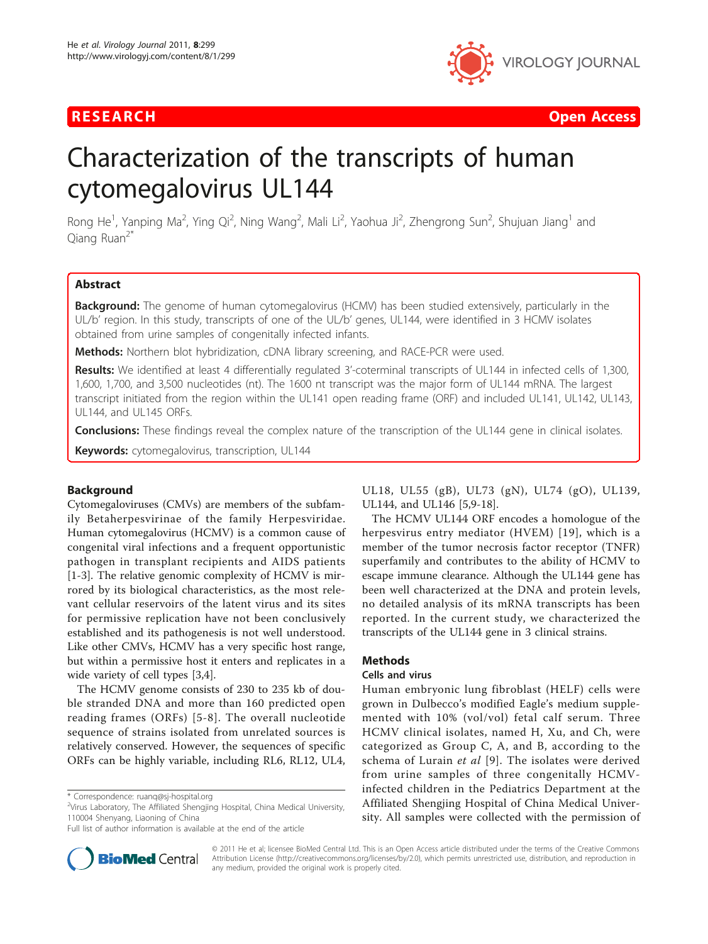

**RESEARCH Open Access Contract Contract Contract Contract Contract Contract Contract Contract Contract Contract Contract Contract Contract Contract Contract Contract Contract Contract Contract Contract Contract Contract** 

# Characterization of the transcripts of human cytomegalovirus UL144

Rong He<sup>1</sup>, Yanping Ma<sup>2</sup>, Ying Qi<sup>2</sup>, Ning Wang<sup>2</sup>, Mali Li<sup>2</sup>, Yaohua Ji<sup>2</sup>, Zhengrong Sun<sup>2</sup>, Shujuan Jiang<sup>1</sup> and Qiang Ruan<sup>2\*</sup>

# Abstract

Background: The genome of human cytomegalovirus (HCMV) has been studied extensively, particularly in the UL/b' region. In this study, transcripts of one of the UL/b' genes, UL144, were identified in 3 HCMV isolates obtained from urine samples of congenitally infected infants.

Methods: Northern blot hybridization, cDNA library screening, and RACE-PCR were used.

Results: We identified at least 4 differentially regulated 3'-coterminal transcripts of UL144 in infected cells of 1,300, 1,600, 1,700, and 3,500 nucleotides (nt). The 1600 nt transcript was the major form of UL144 mRNA. The largest transcript initiated from the region within the UL141 open reading frame (ORF) and included UL141, UL142, UL143, UL144, and UL145 ORFs.

**Conclusions:** These findings reveal the complex nature of the transcription of the UL144 gene in clinical isolates.

Keywords: cytomegalovirus, transcription, UL144

## Background

Cytomegaloviruses (CMVs) are members of the subfamily Betaherpesvirinae of the family Herpesviridae. Human cytomegalovirus (HCMV) is a common cause of congenital viral infections and a frequent opportunistic pathogen in transplant recipients and AIDS patients [[1-3](#page-5-0)]. The relative genomic complexity of HCMV is mirrored by its biological characteristics, as the most relevant cellular reservoirs of the latent virus and its sites for permissive replication have not been conclusively established and its pathogenesis is not well understood. Like other CMVs, HCMV has a very specific host range, but within a permissive host it enters and replicates in a wide variety of cell types [[3](#page-5-0),[4](#page-5-0)].

The HCMV genome consists of 230 to 235 kb of double stranded DNA and more than 160 predicted open reading frames (ORFs) [\[5-8](#page-5-0)]. The overall nucleotide sequence of strains isolated from unrelated sources is relatively conserved. However, the sequences of specific ORFs can be highly variable, including RL6, RL12, UL4,

Full list of author information is available at the end of the article



UL18, UL55 (gB), UL73 (gN), UL74 (gO), UL139, UL144, and UL146 [\[5,9](#page-5-0)-[18](#page-5-0)].

The HCMV UL144 ORF encodes a homologue of the herpesvirus entry mediator (HVEM) [\[19\]](#page-5-0), which is a member of the tumor necrosis factor receptor (TNFR) superfamily and contributes to the ability of HCMV to escape immune clearance. Although the UL144 gene has been well characterized at the DNA and protein levels, no detailed analysis of its mRNA transcripts has been reported. In the current study, we characterized the transcripts of the UL144 gene in 3 clinical strains.

#### Methods

#### Cells and virus

Human embryonic lung fibroblast (HELF) cells were grown in Dulbecco's modified Eagle's medium supplemented with 10% (vol/vol) fetal calf serum. Three HCMV clinical isolates, named H, Xu, and Ch, were categorized as Group C, A, and B, according to the schema of Lurain et al [[9](#page-5-0)]. The isolates were derived from urine samples of three congenitally HCMVinfected children in the Pediatrics Department at the Affiliated Shengjing Hospital of China Medical University. All samples were collected with the permission of

© 2011 He et al; licensee BioMed Central Ltd. This is an Open Access article distributed under the terms of the Creative Commons Attribution License [\(http://creativecommons.org/licenses/by/2.0](http://creativecommons.org/licenses/by/2.0)), which permits unrestricted use, distribution, and reproduction in any medium, provided the original work is properly cited.

<sup>\*</sup> Correspondence: [ruanq@sj-hospital.org](mailto:ruanq@sj-hospital.org)

<sup>&</sup>lt;sup>2</sup>Virus Laboratory, The Affiliated Shengjing Hospital, China Medical University, 110004 Shenyang, Liaoning of China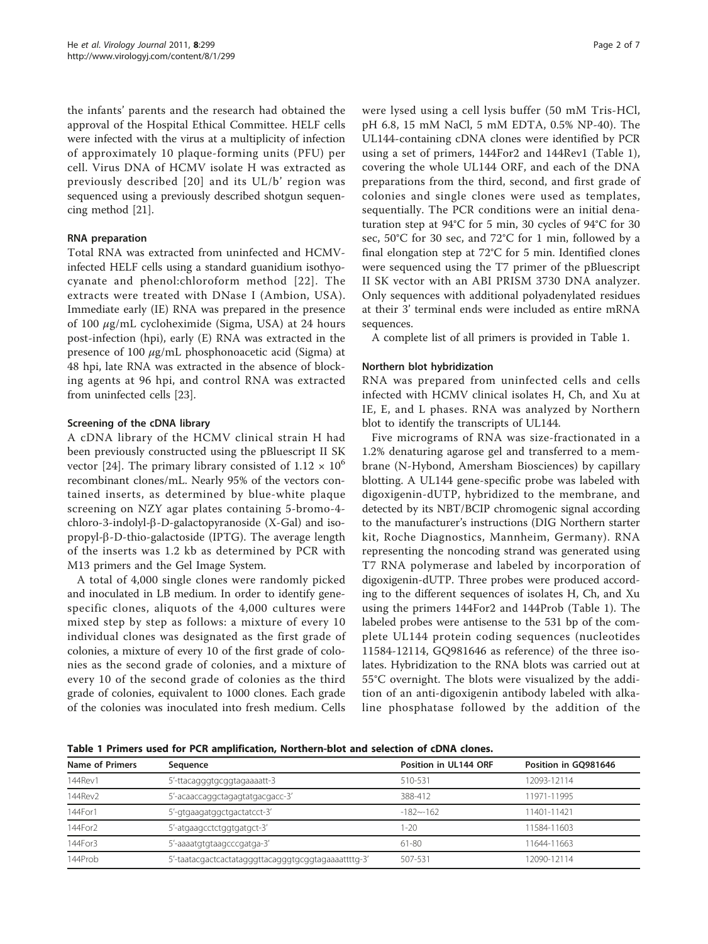<span id="page-1-0"></span>the infants' parents and the research had obtained the approval of the Hospital Ethical Committee. HELF cells were infected with the virus at a multiplicity of infection of approximately 10 plaque-forming units (PFU) per cell. Virus DNA of HCMV isolate H was extracted as previously described [[20](#page-5-0)] and its UL/b' region was sequenced using a previously described shotgun sequencing method [[21](#page-5-0)].

## RNA preparation

Total RNA was extracted from uninfected and HCMVinfected HELF cells using a standard guanidium isothyocyanate and phenol:chloroform method [[22\]](#page-5-0). The extracts were treated with DNase I (Ambion, USA). Immediate early (IE) RNA was prepared in the presence of 100  $\mu$ g/mL cycloheximide (Sigma, USA) at 24 hours post-infection (hpi), early (E) RNA was extracted in the presence of 100  $\mu$ g/mL phosphonoacetic acid (Sigma) at 48 hpi, late RNA was extracted in the absence of blocking agents at 96 hpi, and control RNA was extracted from uninfected cells [[23\]](#page-5-0).

## Screening of the cDNA library

A cDNA library of the HCMV clinical strain H had been previously constructed using the pBluescript II SK vector [[24\]](#page-5-0). The primary library consisted of  $1.12 \times 10^6$ recombinant clones/mL. Nearly 95% of the vectors contained inserts, as determined by blue-white plaque screening on NZY agar plates containing 5-bromo-4 chloro-3-indolyl- $\beta$ -D-galactopyranoside (X-Gal) and iso $propyl-\beta-D-thio-galactoside$  (IPTG). The average length of the inserts was 1.2 kb as determined by PCR with M13 primers and the Gel Image System.

A total of 4,000 single clones were randomly picked and inoculated in LB medium. In order to identify genespecific clones, aliquots of the 4,000 cultures were mixed step by step as follows: a mixture of every 10 individual clones was designated as the first grade of colonies, a mixture of every 10 of the first grade of colonies as the second grade of colonies, and a mixture of every 10 of the second grade of colonies as the third grade of colonies, equivalent to 1000 clones. Each grade of the colonies was inoculated into fresh medium. Cells

were lysed using a cell lysis buffer (50 mM Tris-HCl, pH 6.8, 15 mM NaCl, 5 mM EDTA, 0.5% NP-40). The UL144-containing cDNA clones were identified by PCR using a set of primers, 144For2 and 144Rev1 (Table 1), covering the whole UL144 ORF, and each of the DNA preparations from the third, second, and first grade of colonies and single clones were used as templates, sequentially. The PCR conditions were an initial denaturation step at 94°C for 5 min, 30 cycles of 94°C for 30 sec, 50°C for 30 sec, and 72°C for 1 min, followed by a final elongation step at 72°C for 5 min. Identified clones were sequenced using the T7 primer of the pBluescript II SK vector with an ABI PRISM 3730 DNA analyzer. Only sequences with additional polyadenylated residues at their 3' terminal ends were included as entire mRNA sequences.

A complete list of all primers is provided in Table 1.

## Northern blot hybridization

RNA was prepared from uninfected cells and cells infected with HCMV clinical isolates H, Ch, and Xu at IE, E, and L phases. RNA was analyzed by Northern blot to identify the transcripts of UL144.

Five micrograms of RNA was size-fractionated in a 1.2% denaturing agarose gel and transferred to a membrane (N-Hybond, Amersham Biosciences) by capillary blotting. A UL144 gene-specific probe was labeled with digoxigenin-dUTP, hybridized to the membrane, and detected by its NBT/BCIP chromogenic signal according to the manufacturer's instructions (DIG Northern starter kit, Roche Diagnostics, Mannheim, Germany). RNA representing the noncoding strand was generated using T7 RNA polymerase and labeled by incorporation of digoxigenin-dUTP. Three probes were produced according to the different sequences of isolates H, Ch, and Xu using the primers 144For2 and 144Prob (Table 1). The labeled probes were antisense to the 531 bp of the complete UL144 protein coding sequences (nucleotides 11584-12114, GQ981646 as reference) of the three isolates. Hybridization to the RNA blots was carried out at 55°C overnight. The blots were visualized by the addition of an anti-digoxigenin antibody labeled with alkaline phosphatase followed by the addition of the

Table 1 Primers used for PCR amplification, Northern-blot and selection of cDNA clones.

| Name of Primers<br>Sequence                                    |                                 | Position in UL144 ORF | Position in GO981646 |  |
|----------------------------------------------------------------|---------------------------------|-----------------------|----------------------|--|
| 144Rev1                                                        | 5'-ttacagggtgcggtagaaaatt-3     | 510-531               | 12093-12114          |  |
| 144Rev2                                                        | 5'-acaaccaggctagagtatgacgacc-3' | 388-412               | 11971-11995          |  |
| 144For1                                                        | 5'-gtgaagatggctgactatcct-3'     | $-182 - -162$         | 11401-11421          |  |
| 144For2                                                        | 5'-atgaagcctctggtgatgct-3'      | $-20$                 | 11584-11603          |  |
| 144For3                                                        | 5'-aaaatgtgtaagcccgatga-3'      | 61-80                 | 11644-11663          |  |
| 144Prob<br>5'-taatacgactcactatagggttacagggtgcggtagaaaattttg-3' |                                 | 507-531               | 12090-12114          |  |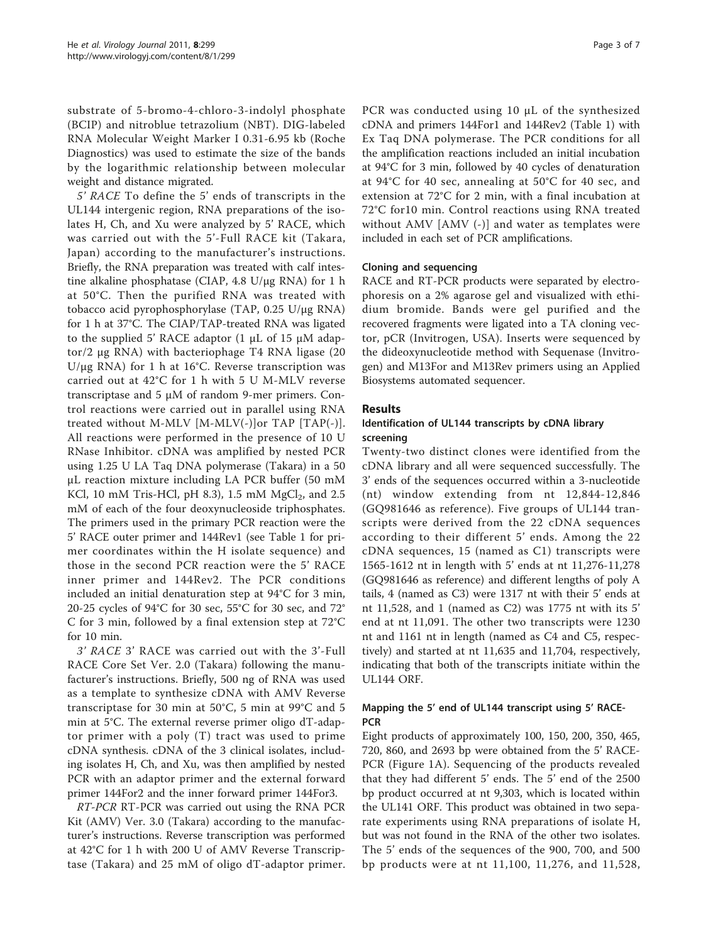substrate of 5-bromo-4-chloro-3-indolyl phosphate (BCIP) and nitroblue tetrazolium (NBT). DIG-labeled RNA Molecular Weight Marker I 0.31-6.95 kb (Roche Diagnostics) was used to estimate the size of the bands by the logarithmic relationship between molecular weight and distance migrated.

5' RACE To define the 5' ends of transcripts in the UL144 intergenic region, RNA preparations of the isolates H, Ch, and Xu were analyzed by 5' RACE, which was carried out with the 5'-Full RACE kit (Takara, Japan) according to the manufacturer's instructions. Briefly, the RNA preparation was treated with calf intestine alkaline phosphatase (CIAP, 4.8 U/μg RNA) for 1 h at 50°C. Then the purified RNA was treated with tobacco acid pyrophosphorylase (TAP, 0.25 U/μg RNA) for 1 h at 37°C. The CIAP/TAP-treated RNA was ligated to the supplied 5' RACE adaptor (1 μL of 15 μM adaptor/2 μg RNA) with bacteriophage T4 RNA ligase (20 U/μg RNA) for 1 h at 16°C. Reverse transcription was carried out at 42°C for 1 h with 5 U M-MLV reverse transcriptase and 5 μM of random 9-mer primers. Control reactions were carried out in parallel using RNA treated without M-MLV [M-MLV(-)]or TAP [TAP(-)]. All reactions were performed in the presence of 10 U RNase Inhibitor. cDNA was amplified by nested PCR using 1.25 U LA Taq DNA polymerase (Takara) in a 50 μL reaction mixture including LA PCR buffer (50 mM KCl, 10 mM Tris-HCl, pH 8.3), 1.5 mM  $MgCl<sub>2</sub>$ , and 2.5 mM of each of the four deoxynucleoside triphosphates. The primers used in the primary PCR reaction were the 5' RACE outer primer and 144Rev1 (see Table [1](#page-1-0) for primer coordinates within the H isolate sequence) and those in the second PCR reaction were the 5' RACE inner primer and 144Rev2. The PCR conditions included an initial denaturation step at 94°C for 3 min, 20-25 cycles of 94°C for 30 sec, 55°C for 30 sec, and 72° C for 3 min, followed by a final extension step at 72°C for 10 min.

3' RACE 3' RACE was carried out with the 3'-Full RACE Core Set Ver. 2.0 (Takara) following the manufacturer's instructions. Briefly, 500 ng of RNA was used as a template to synthesize cDNA with AMV Reverse transcriptase for 30 min at 50°C, 5 min at 99°C and 5 min at 5°C. The external reverse primer oligo dT-adaptor primer with a poly (T) tract was used to prime cDNA synthesis. cDNA of the 3 clinical isolates, including isolates H, Ch, and Xu, was then amplified by nested PCR with an adaptor primer and the external forward primer 144For2 and the inner forward primer 144For3.

RT-PCR RT-PCR was carried out using the RNA PCR Kit (AMV) Ver. 3.0 (Takara) according to the manufacturer's instructions. Reverse transcription was performed at 42°C for 1 h with 200 U of AMV Reverse Transcriptase (Takara) and 25 mM of oligo dT-adaptor primer.

PCR was conducted using 10 μL of the synthesized cDNA and primers 144For1 and 144Rev2 (Table [1](#page-1-0)) with Ex Taq DNA polymerase. The PCR conditions for all the amplification reactions included an initial incubation at 94°C for 3 min, followed by 40 cycles of denaturation at 94°C for 40 sec, annealing at 50°C for 40 sec, and extension at 72°C for 2 min, with a final incubation at 72°C for10 min. Control reactions using RNA treated without AMV [AMV (-)] and water as templates were included in each set of PCR amplifications.

## Cloning and sequencing

RACE and RT-PCR products were separated by electrophoresis on a 2% agarose gel and visualized with ethidium bromide. Bands were gel purified and the recovered fragments were ligated into a TA cloning vector, pCR (Invitrogen, USA). Inserts were sequenced by the dideoxynucleotide method with Sequenase (Invitrogen) and M13For and M13Rev primers using an Applied Biosystems automated sequencer.

#### Results

# Identification of UL144 transcripts by cDNA library screening

Twenty-two distinct clones were identified from the cDNA library and all were sequenced successfully. The 3' ends of the sequences occurred within a 3-nucleotide (nt) window extending from nt 12,844-12,846 (GQ981646 as reference). Five groups of UL144 transcripts were derived from the 22 cDNA sequences according to their different 5' ends. Among the 22 cDNA sequences, 15 (named as C1) transcripts were 1565-1612 nt in length with 5' ends at nt 11,276-11,278 (GQ981646 as reference) and different lengths of poly A tails, 4 (named as C3) were 1317 nt with their 5' ends at nt 11,528, and 1 (named as C2) was 1775 nt with its 5' end at nt 11,091. The other two transcripts were 1230 nt and 1161 nt in length (named as C4 and C5, respectively) and started at nt 11,635 and 11,704, respectively, indicating that both of the transcripts initiate within the UL144 ORF.

# Mapping the 5' end of UL144 transcript using 5' RACE-**PCR**

Eight products of approximately 100, 150, 200, 350, 465, 720, 860, and 2693 bp were obtained from the 5' RACE-PCR (Figure [1A\)](#page-3-0). Sequencing of the products revealed that they had different 5' ends. The 5' end of the 2500 bp product occurred at nt 9,303, which is located within the UL141 ORF. This product was obtained in two separate experiments using RNA preparations of isolate H, but was not found in the RNA of the other two isolates. The 5' ends of the sequences of the 900, 700, and 500 bp products were at nt 11,100, 11,276, and 11,528,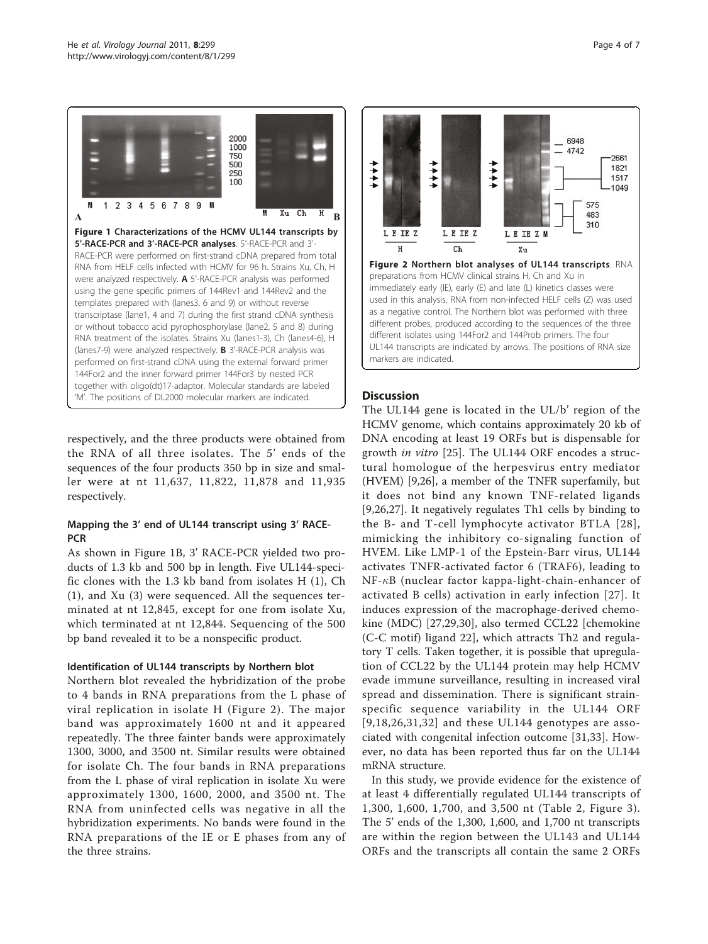<span id="page-3-0"></span>

respectively, and the three products were obtained from the RNA of all three isolates. The 5' ends of the sequences of the four products 350 bp in size and smaller were at nt 11,637, 11,822, 11,878 and 11,935 respectively.

# Mapping the 3' end of UL144 transcript using 3' RACE-**PCR**

As shown in Figure 1B, 3' RACE-PCR yielded two products of 1.3 kb and 500 bp in length. Five UL144-specific clones with the 1.3 kb band from isolates H (1), Ch (1), and Xu (3) were sequenced. All the sequences terminated at nt 12,845, except for one from isolate Xu, which terminated at nt 12,844. Sequencing of the 500 bp band revealed it to be a nonspecific product.

## Identification of UL144 transcripts by Northern blot

Northern blot revealed the hybridization of the probe to 4 bands in RNA preparations from the L phase of viral replication in isolate H (Figure 2). The major band was approximately 1600 nt and it appeared repeatedly. The three fainter bands were approximately 1300, 3000, and 3500 nt. Similar results were obtained for isolate Ch. The four bands in RNA preparations from the L phase of viral replication in isolate Xu were approximately 1300, 1600, 2000, and 3500 nt. The RNA from uninfected cells was negative in all the hybridization experiments. No bands were found in the RNA preparations of the IE or E phases from any of the three strains.



markers are indicated.

# **Discussion**

The UL144 gene is located in the UL/b' region of the HCMV genome, which contains approximately 20 kb of DNA encoding at least 19 ORFs but is dispensable for growth in vitro [[25\]](#page-5-0). The UL144 ORF encodes a structural homologue of the herpesvirus entry mediator (HVEM) [\[9,26](#page-5-0)], a member of the TNFR superfamily, but it does not bind any known TNF-related ligands [[9,26,27](#page-5-0)]. It negatively regulates Th1 cells by binding to the B- and T-cell lymphocyte activator BTLA [[28\]](#page-5-0), mimicking the inhibitory co-signaling function of HVEM. Like LMP-1 of the Epstein-Barr virus, UL144 activates TNFR-activated factor 6 (TRAF6), leading to  $NF- $\kappa$ B$  (nuclear factor kappa-light-chain-enhancer of activated B cells) activation in early infection [[27](#page-5-0)]. It induces expression of the macrophage-derived chemokine (MDC) [[27,29,30](#page-5-0)], also termed CCL22 [chemokine (C-C motif) ligand 22], which attracts Th2 and regulatory T cells. Taken together, it is possible that upregulation of CCL22 by the UL144 protein may help HCMV evade immune surveillance, resulting in increased viral spread and dissemination. There is significant strainspecific sequence variability in the UL144 ORF  $[9,18,26,31,32]$  $[9,18,26,31,32]$  and these UL144 genotypes are associated with congenital infection outcome [[31](#page-5-0)[,33](#page-6-0)]. However, no data has been reported thus far on the UL144 mRNA structure.

In this study, we provide evidence for the existence of at least 4 differentially regulated UL144 transcripts of 1,300, 1,600, 1,700, and 3,500 nt (Table [2](#page-4-0), Figure [3\)](#page-4-0). The 5' ends of the 1,300, 1,600, and 1,700 nt transcripts are within the region between the UL143 and UL144 ORFs and the transcripts all contain the same 2 ORFs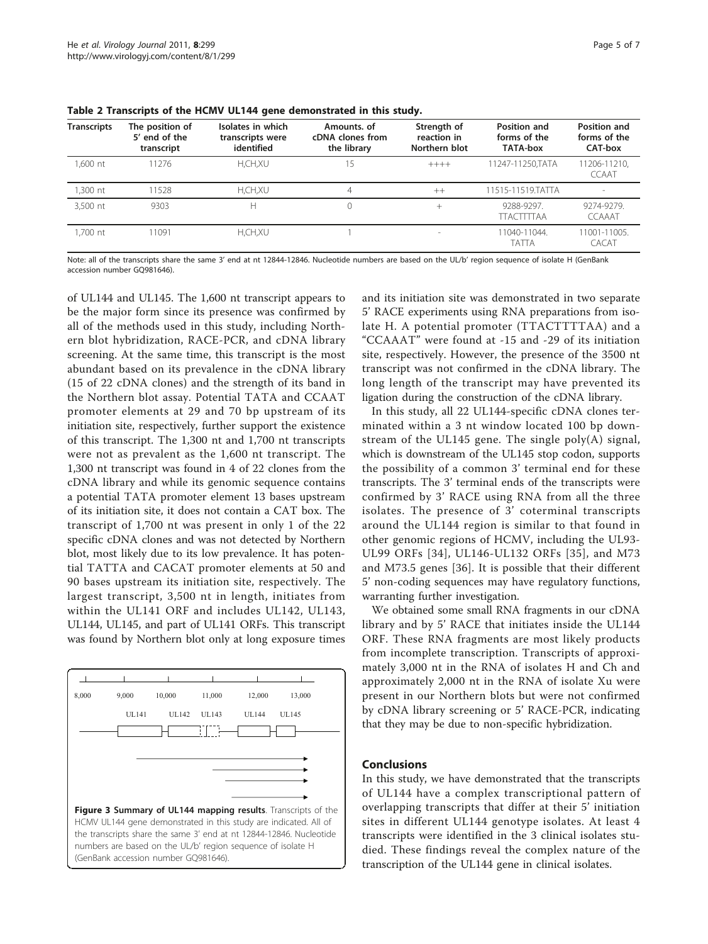| <b>Transcripts</b> | The position of<br>5' end of the<br>transcript | Isolates in which<br>transcripts were<br>identified | Amounts, of<br>cDNA clones from<br>the library | Strength of<br>reaction in<br>Northern blot | Position and<br>forms of the<br>TATA-box | Position and<br>forms of the<br>CAT-box |
|--------------------|------------------------------------------------|-----------------------------------------------------|------------------------------------------------|---------------------------------------------|------------------------------------------|-----------------------------------------|
| 1.600 nt           | 11276                                          | H,CH,XU                                             | 15                                             | $+++++$                                     | 11247-11250.TATA                         | 11206-11210,<br><b>CCAAT</b>            |
| 1,300 nt           | 11528                                          | H,CH,XU                                             | 4                                              | $^{++}$                                     | 11515-11519.TATTA                        |                                         |
| 3.500 nt           | 9303                                           | н                                                   |                                                | $^{+}$                                      | 9288-9297.<br><b>TTACTITTAA</b>          | 9274-9279.<br><b>CCAAAT</b>             |
| .700 nt            | 11091                                          | H,CH,XU                                             |                                                | $\sim$                                      | 11040-11044.<br><b>TATTA</b>             | 11001-11005.<br>CACAT                   |

<span id="page-4-0"></span>Table 2 Transcripts of the HCMV UL144 gene demonstrated in this study.

Note: all of the transcripts share the same 3' end at nt 12844-12846. Nucleotide numbers are based on the UL/b' region sequence of isolate H (GenBank accession number [GQ981646](http://www.ncbi.nlm.nih.gov/pubmed/981646?dopt=Abstract)).

of UL144 and UL145. The 1,600 nt transcript appears to be the major form since its presence was confirmed by all of the methods used in this study, including Northern blot hybridization, RACE-PCR, and cDNA library screening. At the same time, this transcript is the most abundant based on its prevalence in the cDNA library (15 of 22 cDNA clones) and the strength of its band in the Northern blot assay. Potential TATA and CCAAT promoter elements at 29 and 70 bp upstream of its initiation site, respectively, further support the existence of this transcript. The 1,300 nt and 1,700 nt transcripts were not as prevalent as the 1,600 nt transcript. The 1,300 nt transcript was found in 4 of 22 clones from the cDNA library and while its genomic sequence contains a potential TATA promoter element 13 bases upstream of its initiation site, it does not contain a CAT box. The transcript of 1,700 nt was present in only 1 of the 22 specific cDNA clones and was not detected by Northern blot, most likely due to its low prevalence. It has potential TATTA and CACAT promoter elements at 50 and 90 bases upstream its initiation site, respectively. The largest transcript, 3,500 nt in length, initiates from within the UL141 ORF and includes UL142, UL143, UL144, UL145, and part of UL141 ORFs. This transcript was found by Northern blot only at long exposure times



and its initiation site was demonstrated in two separate 5' RACE experiments using RNA preparations from isolate H. A potential promoter (TTACTTTTAA) and a "CCAAAT" were found at -15 and -29 of its initiation site, respectively. However, the presence of the 3500 nt transcript was not confirmed in the cDNA library. The long length of the transcript may have prevented its ligation during the construction of the cDNA library.

In this study, all 22 UL144-specific cDNA clones terminated within a 3 nt window located 100 bp downstream of the UL145 gene. The single poly(A) signal, which is downstream of the UL145 stop codon, supports the possibility of a common 3' terminal end for these transcripts. The 3' terminal ends of the transcripts were confirmed by 3' RACE using RNA from all the three isolates. The presence of 3' coterminal transcripts around the UL144 region is similar to that found in other genomic regions of HCMV, including the UL93- UL99 ORFs [[34](#page-6-0)], UL146-UL132 ORFs [\[35\]](#page-6-0), and M73 and M73.5 genes [[36\]](#page-6-0). It is possible that their different 5' non-coding sequences may have regulatory functions, warranting further investigation.

We obtained some small RNA fragments in our cDNA library and by 5' RACE that initiates inside the UL144 ORF. These RNA fragments are most likely products from incomplete transcription. Transcripts of approximately 3,000 nt in the RNA of isolates H and Ch and approximately 2,000 nt in the RNA of isolate Xu were present in our Northern blots but were not confirmed by cDNA library screening or 5' RACE-PCR, indicating that they may be due to non-specific hybridization.

## Conclusions

In this study, we have demonstrated that the transcripts of UL144 have a complex transcriptional pattern of overlapping transcripts that differ at their 5' initiation sites in different UL144 genotype isolates. At least 4 transcripts were identified in the 3 clinical isolates studied. These findings reveal the complex nature of the transcription of the UL144 gene in clinical isolates.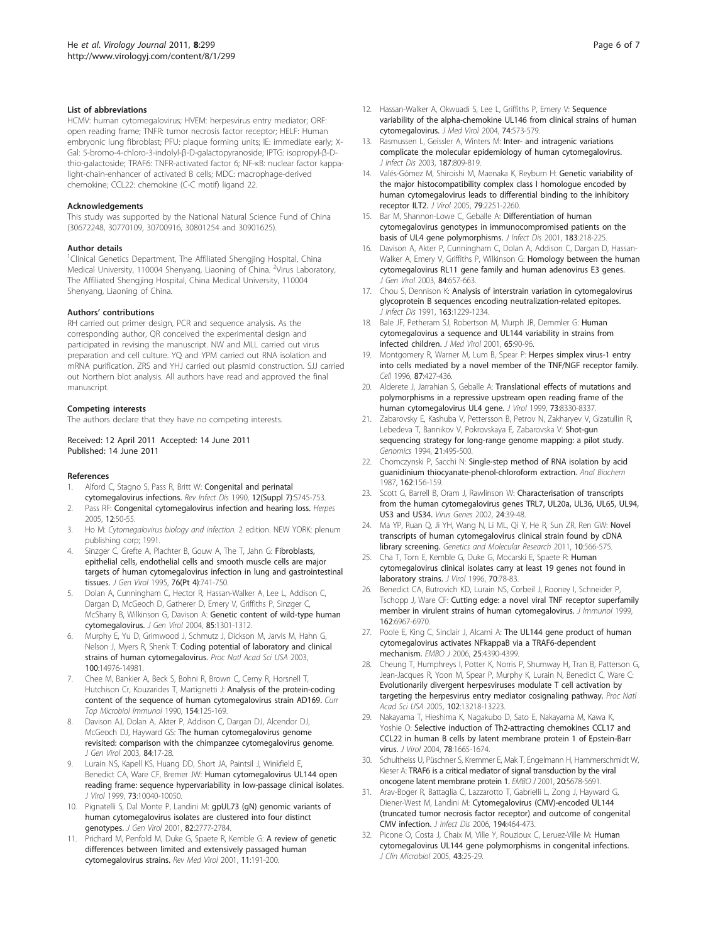#### <span id="page-5-0"></span>List of abbreviations

HCMV: human cytomegalovirus; HVEM: herpesvirus entry mediator; ORF: open reading frame; TNFR: tumor necrosis factor receptor; HELF: Human embryonic lung fibroblast; PFU: plaque forming units; IE: immediate early; X-Gal: 5-bromo-4-chloro-3-indolyl-β-D-galactopyranoside; IPTG: isopropyl-β-Dthio-galactoside; TRAF6: TNFR-activated factor 6; NF-κB: nuclear factor kappalight-chain-enhancer of activated B cells; MDC: macrophage-derived chemokine; CCL22: chemokine (C-C motif) ligand 22.

#### **Acknowledgements**

This study was supported by the National Natural Science Fund of China (30672248, 30770109, 30700916, 30801254 and 30901625).

#### Author details

<sup>1</sup>Clinical Genetics Department, The Affiliated Shengjing Hospital, China Medical University, 110004 Shenyang, Liaoning of China. <sup>2</sup>Virus Laboratory, The Affiliated Shengjing Hospital, China Medical University, 110004 Shenyang, Liaoning of China.

#### Authors' contributions

RH carried out primer design, PCR and sequence analysis. As the corresponding author, QR conceived the experimental design and participated in revising the manuscript. NW and MLL carried out virus preparation and cell culture. YQ and YPM carried out RNA isolation and mRNA purification. ZRS and YHJ carried out plasmid construction. SJJ carried out Northern blot analysis. All authors have read and approved the final manuscript.

#### Competing interests

The authors declare that they have no competing interests.

Received: 12 April 2011 Accepted: 14 June 2011 Published: 14 June 2011

#### References

- Alford C, Stagno S, Pass R, Britt W: [Congenital and perinatal](http://www.ncbi.nlm.nih.gov/pubmed/2173104?dopt=Abstract) [cytomegalovirus infections.](http://www.ncbi.nlm.nih.gov/pubmed/2173104?dopt=Abstract) Rev Infect Dis 1990, 12(Suppl 7):S745-753.
- Pass RF: [Congenital cytomegalovirus infection and hearing loss.](http://www.ncbi.nlm.nih.gov/pubmed/16209862?dopt=Abstract) Herpes 2005, 12:50-55.
- 3. Ho M: Cytomegalovirus biology and infection. 2 edition. NEW YORK: plenum publishing corp; 1991.
- Sinzger C, Grefte A, Plachter B, Gouw A, The T, Jahn G: [Fibroblasts,](http://www.ncbi.nlm.nih.gov/pubmed/9049319?dopt=Abstract) [epithelial cells, endothelial cells and smooth muscle cells are major](http://www.ncbi.nlm.nih.gov/pubmed/9049319?dopt=Abstract) [targets of human cytomegalovirus infection in lung and gastrointestinal](http://www.ncbi.nlm.nih.gov/pubmed/9049319?dopt=Abstract) [tissues.](http://www.ncbi.nlm.nih.gov/pubmed/9049319?dopt=Abstract) J Gen Virol 1995, 76(Pt 4):741-750.
- 5. Dolan A, Cunningham C, Hector R, Hassan-Walker A, Lee L, Addison C, Dargan D, McGeoch D, Gatherer D, Emery V, Griffiths P, Sinzger C, McSharry B, Wilkinson G, Davison A: [Genetic content of wild-type human](http://www.ncbi.nlm.nih.gov/pubmed/15105547?dopt=Abstract) [cytomegalovirus.](http://www.ncbi.nlm.nih.gov/pubmed/15105547?dopt=Abstract) J Gen Virol 2004, 85:1301-1312.
- 6. Murphy E, Yu D, Grimwood J, Schmutz J, Dickson M, Jarvis M, Hahn G, Nelson J, Myers R, Shenk T: [Coding potential of laboratory and clinical](http://www.ncbi.nlm.nih.gov/pubmed/14657367?dopt=Abstract) [strains of human cytomegalovirus.](http://www.ncbi.nlm.nih.gov/pubmed/14657367?dopt=Abstract) Proc Natl Acad Sci USA 2003, 100:14976-14981.
- 7. Chee M, Bankier A, Beck S, Bohni R, Brown C, Cerny R, Horsnell T, Hutchison Cr, Kouzarides T, Martignetti J: [Analysis of the protein-coding](http://www.ncbi.nlm.nih.gov/pubmed/2161319?dopt=Abstract) [content of the sequence of human cytomegalovirus strain AD169.](http://www.ncbi.nlm.nih.gov/pubmed/2161319?dopt=Abstract) Curr Top Microbiol Immunol 1990, 154:125-169.
- 8. Davison AJ, Dolan A, Akter P, Addison C, Dargan DJ, Alcendor DJ, McGeoch DJ, Hayward GS: [The human cytomegalovirus genome](http://www.ncbi.nlm.nih.gov/pubmed/12533697?dopt=Abstract) [revisited: comparison with the chimpanzee cytomegalovirus genome.](http://www.ncbi.nlm.nih.gov/pubmed/12533697?dopt=Abstract) J Gen Virol 2003, 84:17-28.
- Lurain NS, Kapell KS, Huang DD, Short JA, Paintsil J, Winkfield E, Benedict CA, Ware CF, Bremer JW: [Human cytomegalovirus UL144 open](http://www.ncbi.nlm.nih.gov/pubmed/10559318?dopt=Abstract) [reading frame: sequence hypervariability in low-passage clinical isolates.](http://www.ncbi.nlm.nih.gov/pubmed/10559318?dopt=Abstract) J Virol 1999, 73:10040-10050.
- 10. Pignatelli S, Dal Monte P, Landini M: [gpUL73 \(gN\) genomic variants of](http://www.ncbi.nlm.nih.gov/pubmed/11602789?dopt=Abstract) [human cytomegalovirus isolates are clustered into four distinct](http://www.ncbi.nlm.nih.gov/pubmed/11602789?dopt=Abstract) [genotypes.](http://www.ncbi.nlm.nih.gov/pubmed/11602789?dopt=Abstract) J Gen Virol 2001, 82:2777-2784.
- 11. Prichard M, Penfold M, Duke G, Spaete R, Kemble G: [A review of genetic](http://www.ncbi.nlm.nih.gov/pubmed/11376481?dopt=Abstract) [differences between limited and extensively passaged human](http://www.ncbi.nlm.nih.gov/pubmed/11376481?dopt=Abstract) [cytomegalovirus strains.](http://www.ncbi.nlm.nih.gov/pubmed/11376481?dopt=Abstract) Rev Med Virol 2001, 11:191-200.
- 12. Hassan-Walker A, Okwuadi S, Lee L, Griffiths P, Emery V: [Sequence](http://www.ncbi.nlm.nih.gov/pubmed/15484281?dopt=Abstract) [variability of the alpha-chemokine UL146 from clinical strains of human](http://www.ncbi.nlm.nih.gov/pubmed/15484281?dopt=Abstract) [cytomegalovirus.](http://www.ncbi.nlm.nih.gov/pubmed/15484281?dopt=Abstract) J Med Virol 2004, 74:573-579.
- 13. Rasmussen L, Geissler A, Winters M: [Inter- and intragenic variations](http://www.ncbi.nlm.nih.gov/pubmed/12599055?dopt=Abstract) [complicate the molecular epidemiology of human cytomegalovirus.](http://www.ncbi.nlm.nih.gov/pubmed/12599055?dopt=Abstract) J Infect Dis 2003, 187:809-819.
- 14. Valés-Gómez M, Shiroishi M, Maenaka K, Reyburn H: [Genetic variability of](http://www.ncbi.nlm.nih.gov/pubmed/15681427?dopt=Abstract) [the major histocompatibility complex class I homologue encoded by](http://www.ncbi.nlm.nih.gov/pubmed/15681427?dopt=Abstract) [human cytomegalovirus leads to differential binding to the inhibitory](http://www.ncbi.nlm.nih.gov/pubmed/15681427?dopt=Abstract) [receptor ILT2.](http://www.ncbi.nlm.nih.gov/pubmed/15681427?dopt=Abstract) J Virol 2005, 79:2251-2260.
- 15. Bar M, Shannon-Lowe C, Geballe A: [Differentiation of human](http://www.ncbi.nlm.nih.gov/pubmed/11110652?dopt=Abstract) [cytomegalovirus genotypes in immunocompromised patients on the](http://www.ncbi.nlm.nih.gov/pubmed/11110652?dopt=Abstract) basis [of UL4 gene polymorphisms.](http://www.ncbi.nlm.nih.gov/pubmed/11110652?dopt=Abstract) J Infect Dis 2001, 183:218-225.
- 16. Davison A, Akter P, Cunningham C, Dolan A, Addison C, Dargan D, Hassan-Walker A, Emery V, Griffiths P, Wilkinson G: [Homology between the human](http://www.ncbi.nlm.nih.gov/pubmed/12604818?dopt=Abstract) [cytomegalovirus RL11 gene family and human adenovirus E3 genes.](http://www.ncbi.nlm.nih.gov/pubmed/12604818?dopt=Abstract) J Gen Virol 2003, 84:657-663.
- 17. Chou S, Dennison K: [Analysis of interstrain variation in cytomegalovirus](http://www.ncbi.nlm.nih.gov/pubmed/1709960?dopt=Abstract) [glycoprotein B sequences encoding neutralization-related epitopes.](http://www.ncbi.nlm.nih.gov/pubmed/1709960?dopt=Abstract) J Infect Dis 1991, 163:1229-1234.
- 18. Bale JF, Petheram SJ, Robertson M, Murph JR, Demmler G: [Human](http://www.ncbi.nlm.nih.gov/pubmed/11505449?dopt=Abstract) [cytomegalovirus a sequence and UL144 variability in strains from](http://www.ncbi.nlm.nih.gov/pubmed/11505449?dopt=Abstract) [infected children.](http://www.ncbi.nlm.nih.gov/pubmed/11505449?dopt=Abstract) J Med Virol 2001, 65:90-96.
- 19. Montgomery R, Warner M, Lum B, Spear P: [Herpes simplex virus-1 entry](http://www.ncbi.nlm.nih.gov/pubmed/8898196?dopt=Abstract) [into cells mediated by a novel member of the TNF/NGF receptor family.](http://www.ncbi.nlm.nih.gov/pubmed/8898196?dopt=Abstract) Cell 1996, 87:427-436.
- 20. Alderete J, Jarrahian S, Geballe A: [Translational effects of mutations and](http://www.ncbi.nlm.nih.gov/pubmed/10482583?dopt=Abstract) [polymorphisms in a repressive upstream open reading frame of the](http://www.ncbi.nlm.nih.gov/pubmed/10482583?dopt=Abstract) [human cytomegalovirus UL4 gene.](http://www.ncbi.nlm.nih.gov/pubmed/10482583?dopt=Abstract) J Virol 1999, 73:8330-8337.
- 21. Zabarovsky E, Kashuba V, Pettersson B, Petrov N, Zakharyev V, Gizatullin R, Lebedeva T, Bannikov V, Pokrovskaya E, Zabarovska V: [Shot-gun](http://www.ncbi.nlm.nih.gov/pubmed/7959725?dopt=Abstract) [sequencing strategy for long-range genome mapping: a pilot study.](http://www.ncbi.nlm.nih.gov/pubmed/7959725?dopt=Abstract) Genomics 1994, 21:495-500.
- 22. Chomczynski P, Sacchi N: [Single-step method of RNA isolation by acid](http://www.ncbi.nlm.nih.gov/pubmed/2440339?dopt=Abstract) [guanidinium thiocyanate-phenol-chloroform extraction.](http://www.ncbi.nlm.nih.gov/pubmed/2440339?dopt=Abstract) Anal Biochem 1987, 162:156-159.
- 23. Scott G, Barrell B, Oram J, Rawlinson W: [Characterisation of transcripts](http://www.ncbi.nlm.nih.gov/pubmed/11928987?dopt=Abstract) [from the human cytomegalovirus genes TRL7, UL20a, UL36, UL65, UL94,](http://www.ncbi.nlm.nih.gov/pubmed/11928987?dopt=Abstract) [US3 and US34.](http://www.ncbi.nlm.nih.gov/pubmed/11928987?dopt=Abstract) Virus Genes 2002, 24:39-48.
- 24. Ma YP, Ruan Q, Ji YH, Wang N, Li ML, Qi Y, He R, Sun ZR, Ren GW: [Novel](http://www.ncbi.nlm.nih.gov/pubmed/21491367?dopt=Abstract) [transcripts of human cytomegalovirus clinical strain found by cDNA](http://www.ncbi.nlm.nih.gov/pubmed/21491367?dopt=Abstract) [library screening.](http://www.ncbi.nlm.nih.gov/pubmed/21491367?dopt=Abstract) Genetics and Molecular Research 2011, 10:566-575.
- 25. Cha T, Tom E, Kemble G, Duke G, Mocarski E, Spaete R: [Human](http://www.ncbi.nlm.nih.gov/pubmed/8523595?dopt=Abstract) [cytomegalovirus clinical isolates carry at least 19 genes not found in](http://www.ncbi.nlm.nih.gov/pubmed/8523595?dopt=Abstract) [laboratory strains.](http://www.ncbi.nlm.nih.gov/pubmed/8523595?dopt=Abstract) J Virol 1996, 70:78-83.
- 26. Benedict CA, Butrovich KD, Lurain NS, Corbeil J, Rooney I, Schneider P, Tschopp J, Ware CF: [Cutting edge: a novel viral TNF receptor superfamily](http://www.ncbi.nlm.nih.gov/pubmed/10358135?dopt=Abstract) [member in virulent strains of human cytomegalovirus.](http://www.ncbi.nlm.nih.gov/pubmed/10358135?dopt=Abstract) J Immunol 1999, 162:6967-6970.
- 27. Poole E, King C, Sinclair J, Alcami A: [The UL144 gene product of human](http://www.ncbi.nlm.nih.gov/pubmed/16932746?dopt=Abstract) [cytomegalovirus activates NFkappaB via a TRAF6-dependent](http://www.ncbi.nlm.nih.gov/pubmed/16932746?dopt=Abstract) [mechanism.](http://www.ncbi.nlm.nih.gov/pubmed/16932746?dopt=Abstract) EMBO J 2006, 25:4390-4399.
- 28. Cheung T, Humphreys I, Potter K, Norris P, Shumway H, Tran B, Patterson G, Jean-Jacques R, Yoon M, Spear P, Murphy K, Lurain N, Benedict C, Ware C: [Evolutionarily divergent herpesviruses modulate T cell activation by](http://www.ncbi.nlm.nih.gov/pubmed/16131544?dopt=Abstract) [targeting the herpesvirus entry mediator cosignaling pathway.](http://www.ncbi.nlm.nih.gov/pubmed/16131544?dopt=Abstract) Proc Natl Acad Sci USA 2005, 102:13218-13223.
- 29. Nakayama T, Hieshima K, Nagakubo D, Sato E, Nakayama M, Kawa K, Yoshie O: Selective [induction of Th2-attracting chemokines CCL17 and](http://www.ncbi.nlm.nih.gov/pubmed/14747532?dopt=Abstract) [CCL22 in human B cells by latent membrane protein 1 of Epstein-Barr](http://www.ncbi.nlm.nih.gov/pubmed/14747532?dopt=Abstract) [virus.](http://www.ncbi.nlm.nih.gov/pubmed/14747532?dopt=Abstract) J Virol 2004, 78:1665-1674.
- 30. Schultheiss U, Püschner S, Kremmer E, Mak T, Engelmann H, Hammerschmidt W, Kieser A: [TRAF6 is a critical mediator of signal transduction by the viral](http://www.ncbi.nlm.nih.gov/pubmed/11598011?dopt=Abstract) [oncogene latent membrane protein 1.](http://www.ncbi.nlm.nih.gov/pubmed/11598011?dopt=Abstract) EMBO J 2001, 20:5678-5691.
- 31. Arav-Boger R, Battaglia C, Lazzarotto T, Gabrielli L, Zong J, Hayward G, Diener-West M, Landini M: [Cytomegalovirus \(CMV\)-encoded UL144](http://www.ncbi.nlm.nih.gov/pubmed/16845629?dopt=Abstract) [\(truncated tumor necrosis factor receptor\) and outcome of congenital](http://www.ncbi.nlm.nih.gov/pubmed/16845629?dopt=Abstract) [CMV infection.](http://www.ncbi.nlm.nih.gov/pubmed/16845629?dopt=Abstract) J Infect Dis 2006, 194:464-473.
- 32. Picone O, Costa J, Chaix M, Ville Y, Rouzioux C, Leruez-Ville M: [Human](http://www.ncbi.nlm.nih.gov/pubmed/15634946?dopt=Abstract) [cytomegalovirus UL144 gene polymorphisms in congenital infections.](http://www.ncbi.nlm.nih.gov/pubmed/15634946?dopt=Abstract) J Clin Microbiol 2005, 43:25-29.